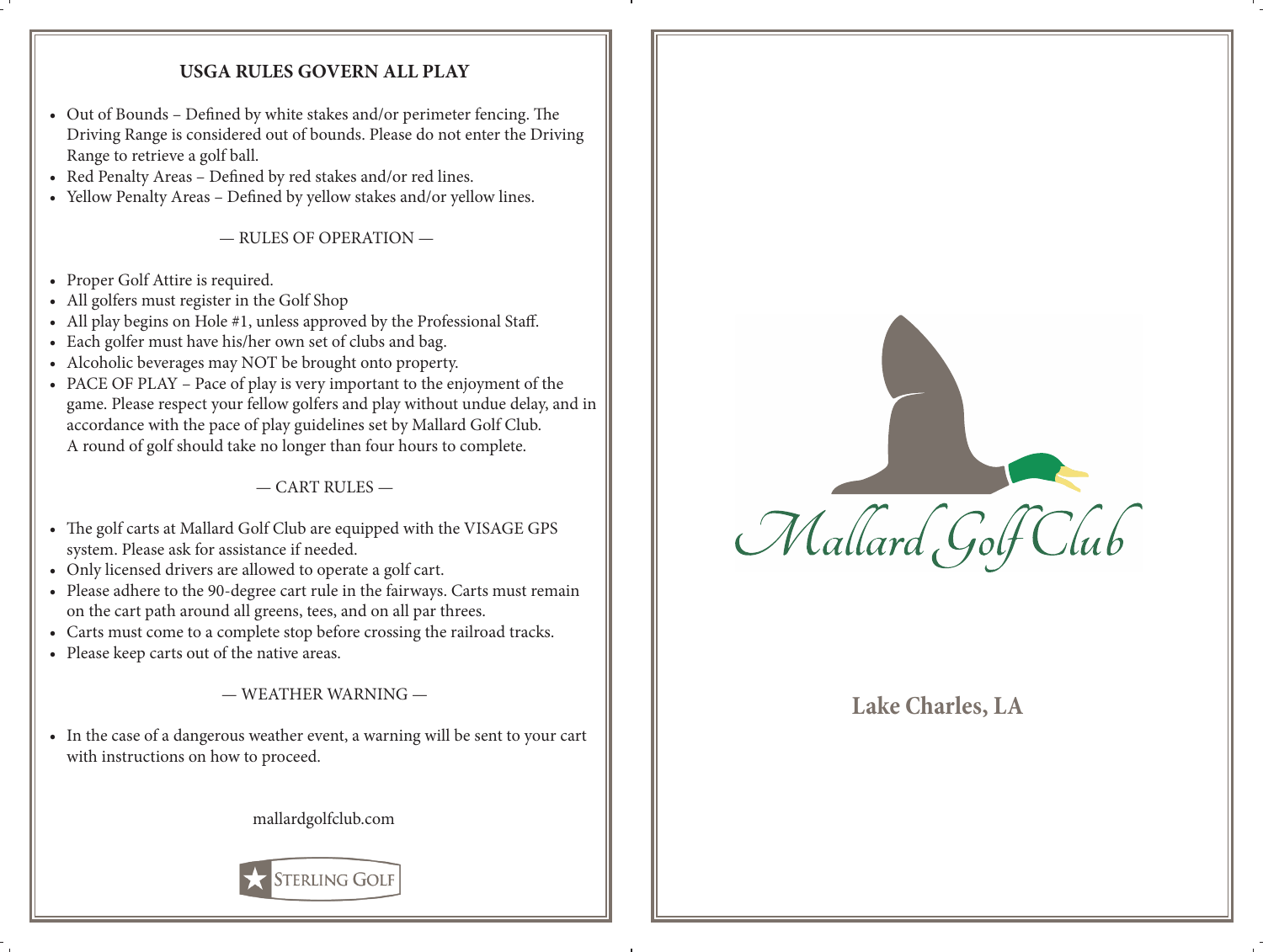## **USGA RULES GOVERN ALL PLAY**

- Out of Bounds Defined by white stakes and/or perimeter fencing. The Driving Range is considered out of bounds. Please do not enter the Driving Range to retrieve a golf ball.
- Red Penalty Areas Defined by red stakes and/or red lines.
- Yellow Penalty Areas Defined by yellow stakes and/or yellow lines.

— RULES OF OPERATION —

- Proper Golf Attire is required.
- All golfers must register in the Golf Shop
- All play begins on Hole #1, unless approved by the Professional Staff.
- Each golfer must have his/her own set of clubs and bag.
- Alcoholic beverages may NOT be brought onto property.
- PACE OF PLAY Pace of play is very important to the enjoyment of the game. Please respect your fellow golfers and play without undue delay, and in accordance with the pace of play guidelines set by Mallard Golf Club. A round of golf should take no longer than four hours to complete.

 $-CART$  RULES  $-$ 

- The golf carts at Mallard Golf Club are equipped with the VISAGE GPS system. Please ask for assistance if needed.
- Only licensed drivers are allowed to operate a golf cart.
- Please adhere to the 90-degree cart rule in the fairways. Carts must remain on the cart path around all greens, tees, and on all par threes.
- Carts must come to a complete stop before crossing the railroad tracks.
- Please keep carts out of the native areas.

 $-$  WEATHER WARNING  $-$ 

• In the case of a dangerous weather event, a warning will be sent to your cart with instructions on how to proceed.

mallardgolfclub.com





## **Lake Charles, LA**